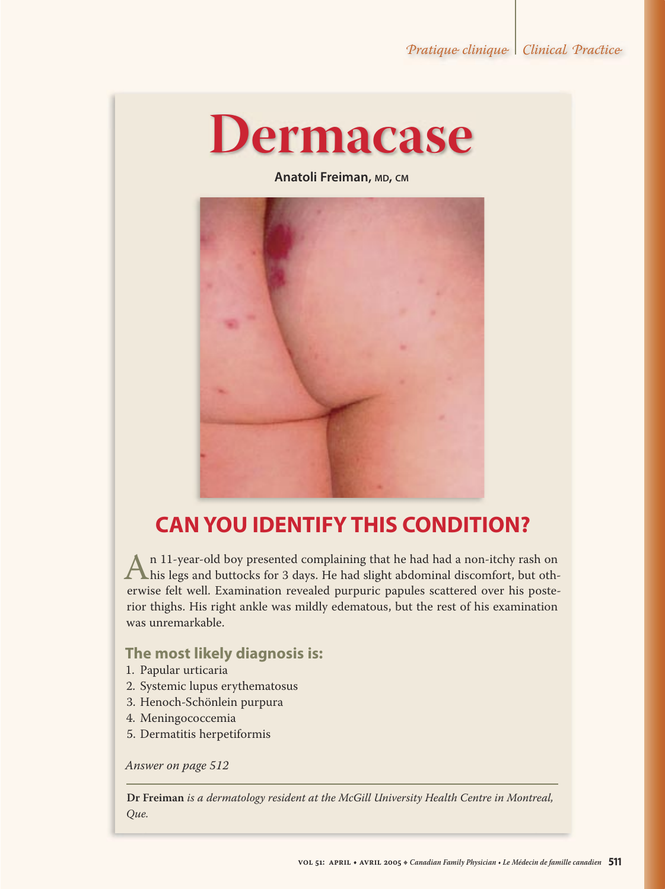# **Dermacase**

**Anatoli Freiman, MD, CM**



## **CAN YOU IDENTIFY THIS CONDITION?**

An 11-year-old boy presented complaining that he had had a non-itchy rash on<br>his legs and buttocks for 3 days. He had slight abdominal discomfort, but oth-<br>erwise felt well. Examination revealed purpuric papules scattered erwise felt well. Examination revealed purpuric papules scattered over his posterior thighs. His right ankle was mildly edematous, but the rest of his examination was unremarkable.

#### **The most likely diagnosis is:**

- 1. Papular urticaria
- 2. Systemic lupus erythematosus
- 3. Henoch-Schönlein purpura
- 4. Meningococcemia
- 5. Dermatitis herpetiformis

*Answer on page 512*

**Dr Freiman** *is a dermatology resident at the McGill University Health Centre in Montreal, Que.*